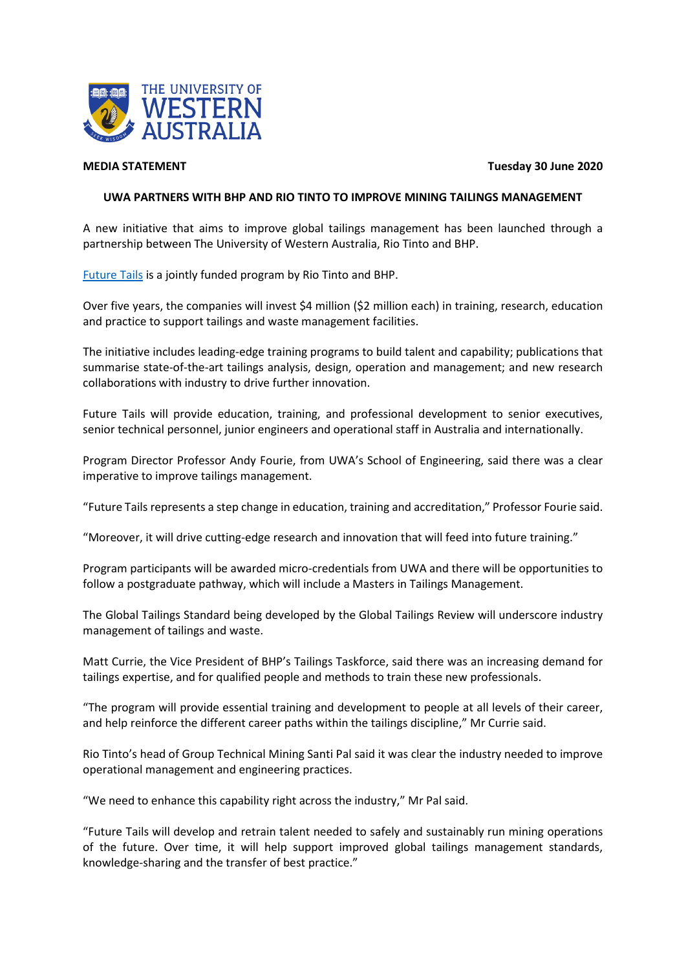

**MEDIA STATEMENT Tuesday 30 June 2020**

## **UWA PARTNERS WITH BHP AND RIO TINTO TO IMPROVE MINING TAILINGS MANAGEMENT**

A new initiative that aims to improve global tailings management has been launched through a partnership between The University of Western Australia, Rio Tinto and BHP.

[Future Tails](https://www.uwa.edu.au/ems/future-tails) is a jointly funded program by Rio Tinto and BHP.

Over five years, the companies will invest \$4 million (\$2 million each) in training, research, education and practice to support tailings and waste management facilities.

The initiative includes leading-edge training programs to build talent and capability; publications that summarise state-of-the-art tailings analysis, design, operation and management; and new research collaborations with industry to drive further innovation.

Future Tails will provide education, training, and professional development to senior executives, senior technical personnel, junior engineers and operational staff in Australia and internationally.

Program Director Professor Andy Fourie, from UWA's School of Engineering, said there was a clear imperative to improve tailings management.

"Future Tails represents a step change in education, training and accreditation," Professor Fourie said.

"Moreover, it will drive cutting-edge research and innovation that will feed into future training."

Program participants will be awarded micro-credentials from UWA and there will be opportunities to follow a postgraduate pathway, which will include a Masters in Tailings Management.

The Global Tailings Standard being developed by the Global Tailings Review will underscore industry management of tailings and waste.

Matt Currie, the Vice President of BHP's Tailings Taskforce, said there was an increasing demand for tailings expertise, and for qualified people and methods to train these new professionals.

"The program will provide essential training and development to people at all levels of their career, and help reinforce the different career paths within the tailings discipline," Mr Currie said.

Rio Tinto's head of Group Technical Mining Santi Pal said it was clear the industry needed to improve operational management and engineering practices.

"We need to enhance this capability right across the industry," Mr Pal said.

"Future Tails will develop and retrain talent needed to safely and sustainably run mining operations of the future. Over time, it will help support improved global tailings management standards, knowledge-sharing and the transfer of best practice."